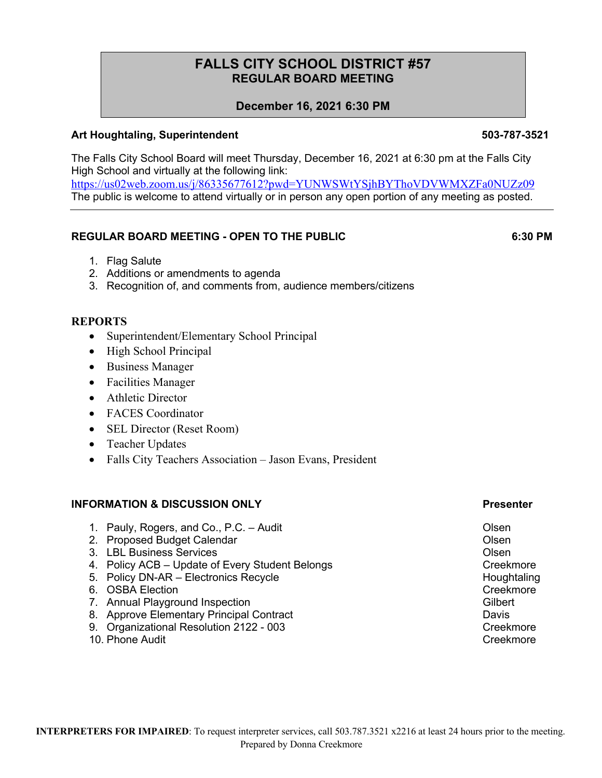# **FALLS CITY SCHOOL DISTRICT #57 REGULAR BOARD MEETING**

## **December 16, 2021 6:30 PM**

### **Art Houghtaling, Superintendent 503-787-3521**

The Falls City School Board will meet Thursday, December 16, 2021 at 6:30 pm at the Falls City High School and virtually at the following link: https://us02web.zoom.us/j/86335677612?pwd=YUNWSWtYSjhBYThoVDVWMXZFa0NUZz09 The public is welcome to attend virtually or in person any open portion of any meeting as posted.

### **REGULAR BOARD MEETING - OPEN TO THE PUBLIC 6:30 PM**

- 1. Flag Salute
- 2. Additions or amendments to agenda
- 3. Recognition of, and comments from, audience members/citizens

### **REPORTS**

- Superintendent/Elementary School Principal
- High School Principal
- Business Manager
- Facilities Manager
- Athletic Director
- FACES Coordinator
- SEL Director (Reset Room)
- Teacher Updates
- Falls City Teachers Association Jason Evans, President

### **INFORMATION & DISCUSSION ONLY Presenter**

- 1. Pauly, Rogers, and Co., P.C. Audit Co. and Co., P.C. Audit Co. Co. Communist Colsen
- 2. Proposed Budget Calendar **Calendar** Conservative Conservative Conservative Conservative Conservative Conservative Conservative Conservative Conservative Conservative Conservative Conservative Conservative Conservative C
- 3. LBL Business Services Olsen
- 4. Policy ACB Update of Every Student Belongs Changes Creekmore
- 5. Policy DN-AR Electronics Recycle **Example 20** and the Houghtaling
- 6. OSBA Election **Creekmore** Creekmore Creekmore Creekmore
- 7. Annual Playground Inspection Gilbert Gilbert Gilbert Gilbert
- 8. Approve Elementary Principal Contract **Davis** Davis
- 9. Organizational Resolution 2122 003
- 10. Phone Audit Creekmore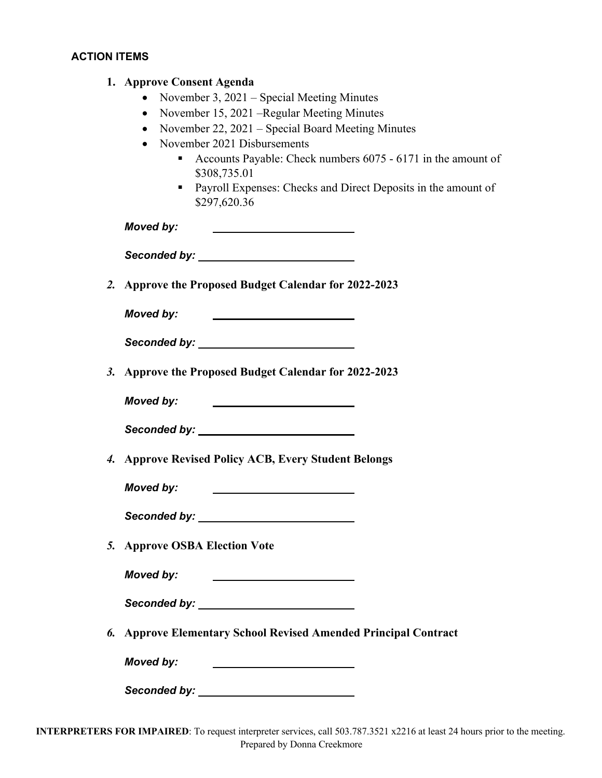## **ACTION ITEMS**

|    | 1. Approve Consent Agenda                                                                                                            |
|----|--------------------------------------------------------------------------------------------------------------------------------------|
|    | November 3, 2021 - Special Meeting Minutes                                                                                           |
|    | November 15, 2021 – Regular Meeting Minutes                                                                                          |
|    | November 22, 2021 - Special Board Meeting Minutes<br>$\bullet$                                                                       |
|    | November 2021 Disbursements<br>$\bullet$                                                                                             |
|    | Accounts Payable: Check numbers 6075 - 6171 in the amount of                                                                         |
|    | \$308,735.01                                                                                                                         |
|    | • Payroll Expenses: Checks and Direct Deposits in the amount of<br>\$297,620.36                                                      |
|    | <b>Moved by:</b>                                                                                                                     |
|    |                                                                                                                                      |
| 2. | Approve the Proposed Budget Calendar for 2022-2023                                                                                   |
|    |                                                                                                                                      |
|    | Moved by:<br><u> 1980 - John Stone, amerikansk politiker (</u>                                                                       |
|    |                                                                                                                                      |
|    | 3. Approve the Proposed Budget Calendar for 2022-2023                                                                                |
|    | Moved by:<br><u> The Communication of the Communication of the Communication of the Communication of the Communication of the Co</u> |
|    |                                                                                                                                      |
|    | 4. Approve Revised Policy ACB, Every Student Belongs                                                                                 |
|    | <b>Moved by:</b>                                                                                                                     |
|    | Seconded by: _____                                                                                                                   |
| 5. | <b>Approve OSBA Election Vote</b>                                                                                                    |
|    | Moved by:<br><u> 1980 - Johann Barnett, fransk politiker (d. 1980)</u>                                                               |
|    |                                                                                                                                      |
| 6. | <b>Approve Elementary School Revised Amended Principal Contract</b>                                                                  |
|    | Moved by:<br><u> 1989 - Johann Stein, mars an t-Amerikaansk kommunister (</u>                                                        |
|    |                                                                                                                                      |